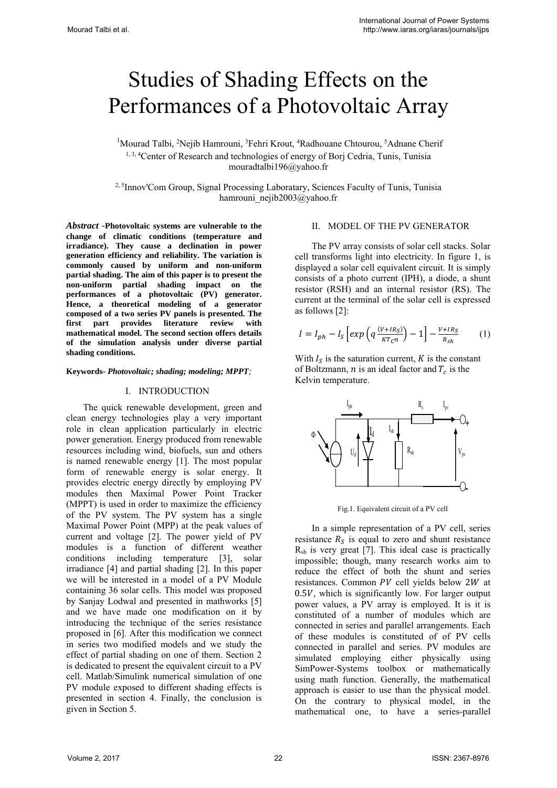# Studies of Shading Effects on the Performances of a Photovoltaic Array

<sup>1</sup>Mourad Talbi, <sup>2</sup>Nejib Hamrouni, <sup>3</sup>Fehri Krout, <sup>4</sup>Radhouane Chtourou, <sup>5</sup>Adnane Cherif <sup>1, 3, 4</sup>Center of Research and technologies of energy of Borj Cedria, Tunis, Tunisia mouradtalbi196@yahoo.fr

2, 5Innov'Com Group, Signal Processing Laboratary, Sciences Faculty of Tunis, Tunisia hamrouni\_nejib2003@yahoo.fr

*Abstract -***Photovoltaic systems are vulnerable to the change of climatic conditions (temperature and irradiance). They cause a declination in power generation efficiency and reliability. The variation is commonly caused by uniform and non-uniform partial shading. The aim of this paper is to present the non-uniform partial shading impact on the performances of a photovoltaic (PV) generator. Hence, a theoretical modeling of a generator composed of a two series PV panels is presented. The first part provides literature review with mathematical model. The second section offers details of the simulation analysis under diverse partial shading conditions.** 

## **Keywords-** *Photovoltaic; shading; modeling; MPPT;*

## I. INTRODUCTION

The quick renewable development, green and clean energy technologies play a very important role in clean application particularly in electric power generation. Energy produced from renewable resources including wind, biofuels, sun and others is named renewable energy [1]. The most popular form of renewable energy is solar energy. It provides electric energy directly by employing PV modules then Maximal Power Point Tracker (MPPT) is used in order to maximize the efficiency of the PV system. The PV system has a single Maximal Power Point (MPP) at the peak values of current and voltage [2]. The power yield of PV modules is a function of different weather conditions including temperature [3], solar irradiance [4] and partial shading [2]. In this paper we will be interested in a model of a PV Module containing 36 solar cells. This model was proposed by Sanjay Lodwal and presented in mathworks [5] and we have made one modification on it by introducing the technique of the series resistance proposed in [6]. After this modification we connect in series two modified models and we study the effect of partial shading on one of them. Section 2 is dedicated to present the equivalent circuit to a PV cell. Matlab/Simulink numerical simulation of one PV module exposed to different shading effects is presented in section 4. Finally, the conclusion is given in Section 5.

## II. MODEL OF THE PV GENERATOR

The PV array consists of solar cell stacks. Solar cell transforms light into electricity. In figure 1, is displayed a solar cell equivalent circuit. It is simply consists of a photo current (IPH), a diode, a shunt resistor (RSH) and an internal resistor (RS). The current at the terminal of the solar cell is expressed as follows [2]:

$$
I = I_{ph} - I_S \left[ exp \left( q \frac{(V + IR_S)}{KT_C n} \right) - 1 \right] - \frac{V + IR_S}{R_{sh}} \tag{1}
$$

With  $I_s$  is the saturation current,  $K$  is the constant of Boltzmann, *n* is an ideal factor and  $T_c$  is the Kelvin temperature.



Fig.1. Equivalent circuit of a PV cell

In a simple representation of a PV cell, series resistance  $R_s$  is equal to zero and shunt resistance  $R_{sh}$  is very great [7]. This ideal case is practically impossible; though, many research works aim to reduce the effect of both the shunt and series resistances. Common PV cell yields below 2W at  $0.5V$ , which is significantly low. For larger output power values, a PV array is employed. It is it is constituted of a number of modules which are connected in series and parallel arrangements. Each of these modules is constituted of of PV cells connected in parallel and series. PV modules are simulated employing either physically using SimPower-Systems toolbox or mathematically using math function. Generally, the mathematical approach is easier to use than the physical model. On the contrary to physical model, in the mathematical one, to have a series-parallel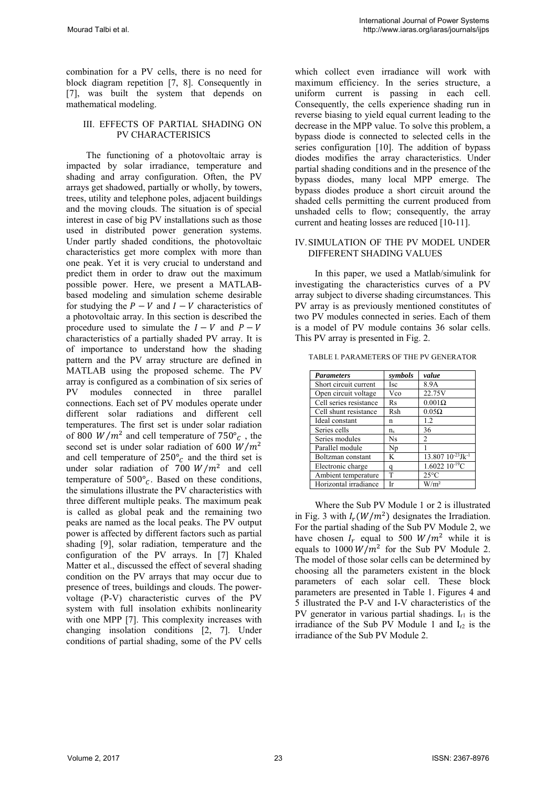combination for a PV cells, there is no need for block diagram repetition [7, 8]. Consequently in [7], was built the system that depends on mathematical modeling.

# III. EFFECTS OF PARTIAL SHADING ON PV CHARACTERISICS

The functioning of a photovoltaic array is impacted by solar irradiance, temperature and shading and array configuration. Often, the PV arrays get shadowed, partially or wholly, by towers, trees, utility and telephone poles, adjacent buildings and the moving clouds. The situation is of special interest in case of big PV installations such as those used in distributed power generation systems. Under partly shaded conditions, the photovoltaic characteristics get more complex with more than one peak. Yet it is very crucial to understand and predict them in order to draw out the maximum possible power. Here, we present a MATLABbased modeling and simulation scheme desirable for studying the  $P - V$  and  $I - V$  characteristics of a photovoltaic array. In this section is described the procedure used to simulate the  $I - V$  and  $P - V$ characteristics of a partially shaded PV array. It is of importance to understand how the shading pattern and the PV array structure are defined in MATLAB using the proposed scheme. The PV array is configured as a combination of six series of PV modules connected in three parallel connections. Each set of PV modules operate under different solar radiations and different cell temperatures. The first set is under solar radiation of 800  $W/m^2$  and cell temperature of 750 $^{\circ}$ <sub>c</sub>, the second set is under solar radiation of 600  $W/m^2$ and cell temperature of  $250^{\circ}$  and the third set is under solar radiation of 700  $W/m^2$  and cell temperature of  $500^{\circ}$ . Based on these conditions, the simulations illustrate the PV characteristics with three different multiple peaks. The maximum peak is called as global peak and the remaining two peaks are named as the local peaks. The PV output power is affected by different factors such as partial shading [9], solar radiation, temperature and the configuration of the PV arrays. In [7] Khaled Matter et al., discussed the effect of several shading condition on the PV arrays that may occur due to presence of trees, buildings and clouds. The powervoltage (P-V) characteristic curves of the PV system with full insolation exhibits nonlinearity with one MPP [7]. This complexity increases with changing insolation conditions [2, 7]. Under conditions of partial shading, some of the PV cells

which collect even irradiance will work with maximum efficiency. In the series structure, a uniform current is passing in each cell. Consequently, the cells experience shading run in reverse biasing to yield equal current leading to the decrease in the MPP value. To solve this problem, a bypass diode is connected to selected cells in the series configuration [10]. The addition of bypass diodes modifies the array characteristics. Under partial shading conditions and in the presence of the bypass diodes, many local MPP emerge. The bypass diodes produce a short circuit around the shaded cells permitting the current produced from unshaded cells to flow; consequently, the array current and heating losses are reduced [10-11].

## IV.SIMULATION OF THE PV MODEL UNDER DIFFERENT SHADING VALUES

In this paper, we used a Matlab/simulink for investigating the characteristics curves of a PV array subject to diverse shading circumstances. This PV array is as previously mentioned constitutes of two PV modules connected in series. Each of them is a model of PV module contains 36 solar cells. This PV array is presented in Fig. 2.

| <b>Parameters</b>      | symbols     | value                               |
|------------------------|-------------|-------------------------------------|
| Short circuit current  | Isc         | 8.9A                                |
| Open circuit voltage   | Vco         | 22.75V                              |
| Cell series resistance | Rs          | $0.001\Omega$                       |
| Cell shunt resistance  | Rsh         | $0.05\Omega$                        |
| Ideal constant         | n           | 1.2                                 |
| Series cells           | $n_{\rm s}$ | 36                                  |
| Series modules         | <b>Ns</b>   | 2                                   |
| Parallel module        | Np          |                                     |
| Boltzman constant      | K           | $13.807\ 10^{-23}$ Jk <sup>-1</sup> |
| Electronic charge      | a           | $1.6022\ 10^{-19}C$                 |
| Ambient temperature    | T           | $25^{\circ}$ C                      |
| Horizontal irradiance  | Ir          | W/m <sup>2</sup>                    |

TABLE I. PARAMETERS OF THE PV GENERATOR

Where the Sub PV Module 1 or 2 is illustrated in Fig. 3 with  $I_r(W/m^2)$  designates the Irradiation. For the partial shading of the Sub PV Module 2, we have chosen  $I_r$  equal to 500  $W/m^2$  while it is equals to 1000  $W/m^2$  for the Sub PV Module 2. The model of those solar cells can be determined by choosing all the parameters existent in the block parameters of each solar cell. These block parameters are presented in Table 1. Figures 4 and 5 illustrated the P-V and I-V characteristics of the PV generator in various partial shadings.  $I_{r1}$  is the irradiance of the Sub PV Module 1 and  $I_{r2}$  is the irradiance of the Sub PV Module 2.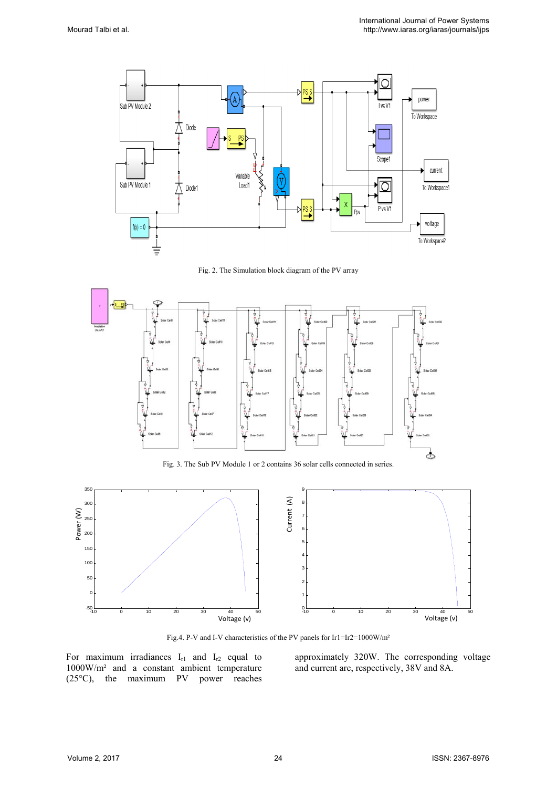

Fig. 2. The Simulation block diagram of the PV array



Fig. 3. The Sub PV Module 1 or 2 contains 36 solar cells connected in series.



Fig.4. P-V and I-V characteristics of the PV panels for Ir1=Ir2=1000W/m²

For maximum irradiances  $I_{r1}$  and  $I_{r2}$  equal to 1000W/m² and a constant ambient temperature (25°C), the maximum PV power reaches approximately 320W. The corresponding voltage and current are, respectively, 38V and 8A.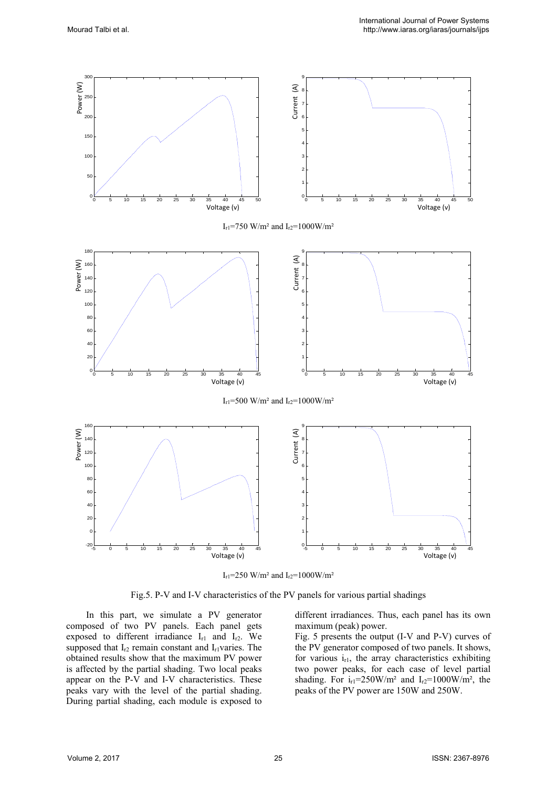

I<sub>r1</sub>=250 W/m<sup>2</sup> and I<sub>r2</sub>=1000W/m<sup>2</sup>

Fig.5. P-V and I-V characteristics of the PV panels for various partial shadings

In this part, we simulate a PV generator composed of two PV panels. Each panel gets exposed to different irradiance  $I_{r1}$  and  $I_{r2}$ . We supposed that  $I_{r2}$  remain constant and  $I_{r1}$ varies. The obtained results show that the maximum PV power is affected by the partial shading. Two local peaks appear on the P-V and I-V characteristics. These peaks vary with the level of the partial shading. During partial shading, each module is exposed to

different irradiances. Thus, each panel has its own maximum (peak) power.

Fig. 5 presents the output (I-V and P-V) curves of the PV generator composed of two panels. It shows, for various  $i_{r1}$ , the array characteristics exhibiting two power peaks, for each case of level partial shading. For  $i_{r1}=250 \text{W/m}^2$  and  $I_{r2}=1000 \text{W/m}^2$ , the peaks of the PV power are 150W and 250W.